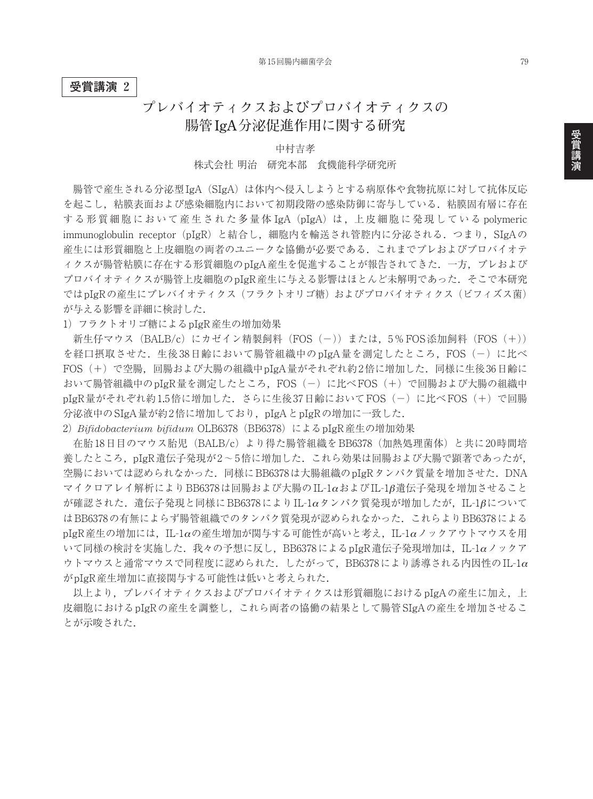### **受賞講演 2**

# **プレバイオティクスおよびプロバイオティクスの 腸管 IgA分泌促進作用に関する研究**

## 中村吉孝 株式会社 明治 研究本部 食機能科学研究所

腸管で産生される分泌型IgA(SIgA)は体内へ侵入しようとする病原体や食物抗原に対して抗体反応 を起こし,粘膜表面および感染細胞内において初期段階の感染防御に寄与している.粘膜固有層に存在 する形質細胞において産生された多量体 IgA (pIgA) は, 上皮細胞に発現している polymeric immunoglobulin receptor (pIgR) と結合し、細胞内を輸送され管腔内に分泌される. つまり, SIgAの 産生には形質細胞と上皮細胞の両者のユニークな協働が必要である.これまでプレおよびプロバイオテ ィクスが腸管粘膜に存在する形質細胞のpIgA産生を促進することが報告されてきた.一方,プレおよび プロバイオティクスが腸管上皮細胞のpIgR産生に与える影響はほとんど未解明であった. そこで本研究 ではpIgRの産生にプレバイオティクス(フラクトオリゴ糖)およびプロバイオティクス(ビフィズス菌) が与える影響を詳細に検討した.

1)フラクトオリゴ糖によるpIgR産生の増加効果

新生仔マウス (BALB/c) にカゼイン精製飼料 (FOS (-)) または、5%FOS添加飼料 (FOS (+)) を経口摂取させた. 生後 38日齢において腸管組織中の pIgA量を測定したところ, FOS(-)に比べ FOS(+)で空腸,回腸および大腸の組織中pIgA量がそれぞれ約2倍に増加した.同様に生後36日齢に おいて腸管組織中のpIgR量を測定したところ, FOS(-)に比べFOS(+)で回腸および大腸の組織中 pIgR量がそれぞれ約1.5倍に増加した. さらに生後37日齢においてFOS(-)に比べFOS(+)で回腸 分泌液中のSIgA量が約2倍に増加しており、pIgAとpIgRの増加に一致した.

2)*Bifidobacterium bifidum* OLB6378(BB6378)によるpIgR産生の増加効果

在胎18日目のマウス胎児(BALB/c)より得た腸管組織をBB6378(加熱処理菌体)と共に20時間培 養したところ,pIgR遺伝子発現が2~5倍に増加した.これら効果は回腸および大腸で顕著であったが, 空腸においては認められなかった.同様にBB6378は大腸組織のpIgRタンパク質量を増加させた.DNA マイクロアレイ解析によりBB6378は回腸および大腸のIL-1αおよびIL-1β遺伝子発現を増加させること が確認された.遺伝子発現と同様にBB6378によりIL-1αタンパク質発現が増加したが,IL-1βについて はBB6378の有無によらず腸管組織でのタンパク質発現が認められなかった.これらよりBB6378による  $pIgR$ 産生の増加には、IL-1 $\alpha$ の産生増加が関与する可能性が高いと考え、IL-1 $\alpha$ ノックアウトマウスを用 いて同様の検討を実施した.我々の予想に反し,BB6378によるpIgR遺伝子発現増加は,IL-1αノックア ウトマウスと通常マウスで同程度に認められた. したがって, BB6378により誘導される内因性のIL-1 $\alpha$ がpIgR産生増加に直接関与する可能性は低いと考えられた.

以上より, プレバイオティクスおよびプロバイオティクスは形質細胞におけるpIgAの産生に加え,上 皮細胞におけるpIgRの産生を調整し,これら両者の協働の結果として腸管SIgAの産生を増加させるこ とが示唆された.

**講 演**